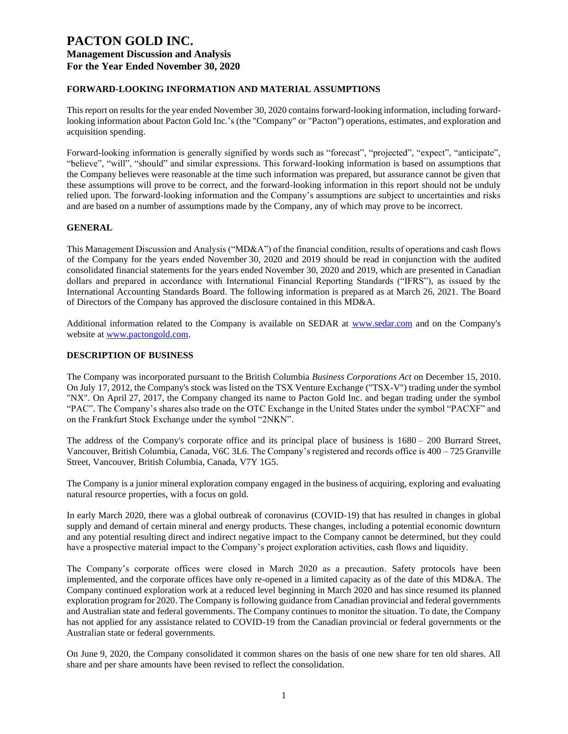## **FORWARD-LOOKING INFORMATION AND MATERIAL ASSUMPTIONS**

This report on results for the year ended November 30, 2020 contains forward-looking information, including forwardlooking information about Pacton Gold Inc.'s (the "Company" or "Pacton") operations, estimates, and exploration and acquisition spending.

Forward-looking information is generally signified by words such as "forecast", "projected", "expect", "anticipate", "believe", "will", "should" and similar expressions. This forward-looking information is based on assumptions that the Company believes were reasonable at the time such information was prepared, but assurance cannot be given that these assumptions will prove to be correct, and the forward-looking information in this report should not be unduly relied upon. The forward-looking information and the Company's assumptions are subject to uncertainties and risks and are based on a number of assumptions made by the Company, any of which may prove to be incorrect.

## **GENERAL**

This Management Discussion and Analysis ("MD&A") of the financial condition, results of operations and cash flows of the Company for the years ended November 30, 2020 and 2019 should be read in conjunction with the audited consolidated financial statements for the years ended November 30, 2020 and 2019, which are presented in Canadian dollars and prepared in accordance with International Financial Reporting Standards ("IFRS"), as issued by the International Accounting Standards Board. The following information is prepared as at March 26, 2021. The Board of Directors of the Company has approved the disclosure contained in this MD&A.

Additional information related to the Company is available on SEDAR at [www.sedar.com](http://www.sedar.com/) and on the Company's website at [www.pactongold.com.](http://www.pactongold.com/)

#### **DESCRIPTION OF BUSINESS**

The Company was incorporated pursuant to the British Columbia *Business Corporations Act* on December 15, 2010. On July 17, 2012, the Company's stock was listed on the TSX Venture Exchange ("TSX-V") trading under the symbol "NX". On April 27, 2017, the Company changed its name to Pacton Gold Inc. and began trading under the symbol "PAC". The Company's shares also trade on the OTC Exchange in the United States under the symbol "PACXF" and on the Frankfurt Stock Exchange under the symbol "2NKN".

The address of the Company's corporate office and its principal place of business is 1680 – 200 Burrard Street, Vancouver, British Columbia, Canada, V6C 3L6. The Company's registered and records office is 400 – 725 Granville Street, Vancouver, British Columbia, Canada, V7Y 1G5.

The Company is a junior mineral exploration company engaged in the business of acquiring, exploring and evaluating natural resource properties, with a focus on gold.

In early March 2020, there was a global outbreak of coronavirus (COVID-19) that has resulted in changes in global supply and demand of certain mineral and energy products. These changes, including a potential economic downturn and any potential resulting direct and indirect negative impact to the Company cannot be determined, but they could have a prospective material impact to the Company's project exploration activities, cash flows and liquidity.

The Company's corporate offices were closed in March 2020 as a precaution. Safety protocols have been implemented, and the corporate offices have only re-opened in a limited capacity as of the date of this MD&A. The Company continued exploration work at a reduced level beginning in March 2020 and has since resumed its planned exploration program for 2020. The Company is following guidance from Canadian provincial and federal governments and Australian state and federal governments. The Company continues to monitor the situation. To date, the Company has not applied for any assistance related to COVID-19 from the Canadian provincial or federal governments or the Australian state or federal governments.

On June 9, 2020, the Company consolidated it common shares on the basis of one new share for ten old shares. All share and per share amounts have been revised to reflect the consolidation.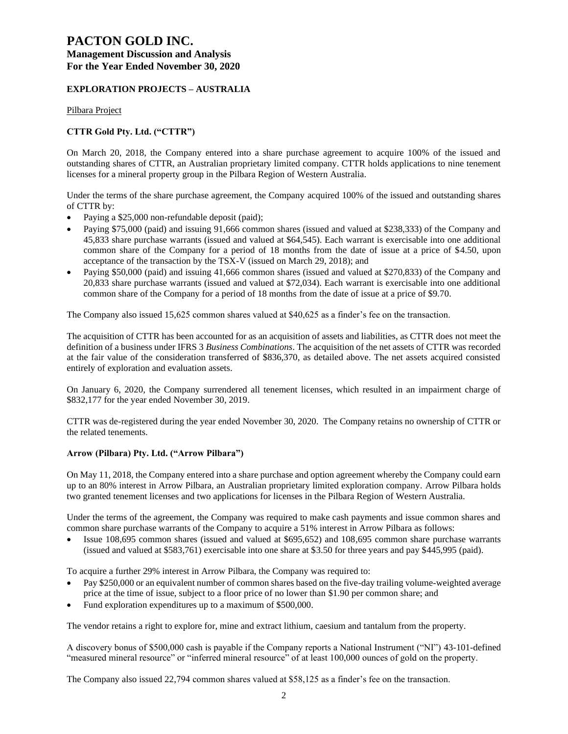# **PACTON GOLD INC.**

## **Management Discussion and Analysis For the Year Ended November 30, 2020**

## **EXPLORATION PROJECTS – AUSTRALIA**

Pilbara Project

## **CTTR Gold Pty. Ltd. ("CTTR")**

On March 20, 2018, the Company entered into a share purchase agreement to acquire 100% of the issued and outstanding shares of CTTR, an Australian proprietary limited company. CTTR holds applications to nine tenement licenses for a mineral property group in the Pilbara Region of Western Australia.

Under the terms of the share purchase agreement, the Company acquired 100% of the issued and outstanding shares of CTTR by:

- Paying a \$25,000 non-refundable deposit (paid);
- Paying \$75,000 (paid) and issuing 91,666 common shares (issued and valued at \$238,333) of the Company and 45,833 share purchase warrants (issued and valued at \$64,545). Each warrant is exercisable into one additional common share of the Company for a period of 18 months from the date of issue at a price of \$4.50, upon acceptance of the transaction by the TSX-V (issued on March 29, 2018); and
- Paying \$50,000 (paid) and issuing 41,666 common shares (issued and valued at \$270,833) of the Company and 20,833 share purchase warrants (issued and valued at \$72,034). Each warrant is exercisable into one additional common share of the Company for a period of 18 months from the date of issue at a price of \$9.70.

The Company also issued 15,625 common shares valued at \$40,625 as a finder's fee on the transaction.

The acquisition of CTTR has been accounted for as an acquisition of assets and liabilities, as CTTR does not meet the definition of a business under IFRS 3 *Business Combinations*. The acquisition of the net assets of CTTR was recorded at the fair value of the consideration transferred of \$836,370, as detailed above. The net assets acquired consisted entirely of exploration and evaluation assets.

On January 6, 2020, the Company surrendered all tenement licenses, which resulted in an impairment charge of \$832,177 for the year ended November 30, 2019.

CTTR was de-registered during the year ended November 30, 2020. The Company retains no ownership of CTTR or the related tenements.

## **Arrow (Pilbara) Pty. Ltd. ("Arrow Pilbara")**

On May 11, 2018, the Company entered into a share purchase and option agreement whereby the Company could earn up to an 80% interest in Arrow Pilbara, an Australian proprietary limited exploration company. Arrow Pilbara holds two granted tenement licenses and two applications for licenses in the Pilbara Region of Western Australia.

Under the terms of the agreement, the Company was required to make cash payments and issue common shares and common share purchase warrants of the Company to acquire a 51% interest in Arrow Pilbara as follows:

• Issue 108,695 common shares (issued and valued at \$695,652) and 108,695 common share purchase warrants (issued and valued at \$583,761) exercisable into one share at \$3.50 for three years and pay \$445,995 (paid).

To acquire a further 29% interest in Arrow Pilbara, the Company was required to:

- Pay \$250,000 or an equivalent number of common shares based on the five-day trailing volume-weighted average price at the time of issue, subject to a floor price of no lower than \$1.90 per common share; and
- Fund exploration expenditures up to a maximum of \$500,000.

The vendor retains a right to explore for, mine and extract lithium, caesium and tantalum from the property.

A discovery bonus of \$500,000 cash is payable if the Company reports a National Instrument ("NI") 43-101-defined "measured mineral resource" or "inferred mineral resource" of at least 100,000 ounces of gold on the property.

The Company also issued 22,794 common shares valued at \$58,125 as a finder's fee on the transaction.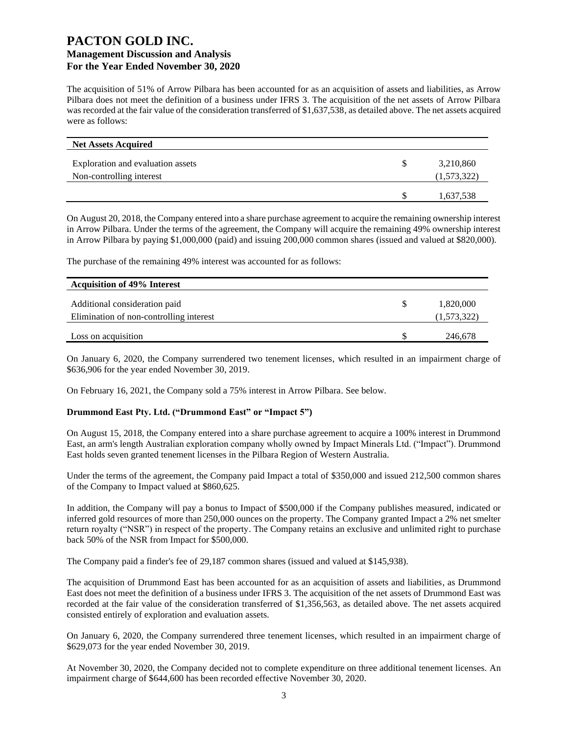The acquisition of 51% of Arrow Pilbara has been accounted for as an acquisition of assets and liabilities, as Arrow Pilbara does not meet the definition of a business under IFRS 3. The acquisition of the net assets of Arrow Pilbara was recorded at the fair value of the consideration transferred of \$1,637,538, as detailed above. The net assets acquired were as follows:

| <b>Net Assets Acquired</b>        |             |
|-----------------------------------|-------------|
| Exploration and evaluation assets | 3,210,860   |
| Non-controlling interest          | (1,573,322) |
|                                   | 1,637,538   |

On August 20, 2018, the Company entered into a share purchase agreement to acquire the remaining ownership interest in Arrow Pilbara. Under the terms of the agreement, the Company will acquire the remaining 49% ownership interest in Arrow Pilbara by paying \$1,000,000 (paid) and issuing 200,000 common shares (issued and valued at \$820,000).

The purchase of the remaining 49% interest was accounted for as follows:

| <b>Acquisition of 49% Interest</b>      |             |
|-----------------------------------------|-------------|
| Additional consideration paid           | 1,820,000   |
| Elimination of non-controlling interest | (1,573,322) |
| Loss on acquisition                     | 246,678     |

On January 6, 2020, the Company surrendered two tenement licenses, which resulted in an impairment charge of \$636,906 for the year ended November 30, 2019.

On February 16, 2021, the Company sold a 75% interest in Arrow Pilbara. See below.

#### **Drummond East Pty. Ltd. ("Drummond East" or "Impact 5")**

On August 15, 2018, the Company entered into a share purchase agreement to acquire a 100% interest in Drummond East, an arm's length Australian exploration company wholly owned by Impact Minerals Ltd. ("Impact"). Drummond East holds seven granted tenement licenses in the Pilbara Region of Western Australia.

Under the terms of the agreement, the Company paid Impact a total of \$350,000 and issued 212,500 common shares of the Company to Impact valued at \$860,625.

In addition, the Company will pay a bonus to Impact of \$500,000 if the Company publishes measured, indicated or inferred gold resources of more than 250,000 ounces on the property. The Company granted Impact a 2% net smelter return royalty ("NSR") in respect of the property. The Company retains an exclusive and unlimited right to purchase back 50% of the NSR from Impact for \$500,000.

The Company paid a finder's fee of 29,187 common shares (issued and valued at \$145,938).

The acquisition of Drummond East has been accounted for as an acquisition of assets and liabilities, as Drummond East does not meet the definition of a business under IFRS 3. The acquisition of the net assets of Drummond East was recorded at the fair value of the consideration transferred of \$1,356,563, as detailed above. The net assets acquired consisted entirely of exploration and evaluation assets.

On January 6, 2020, the Company surrendered three tenement licenses, which resulted in an impairment charge of \$629,073 for the year ended November 30, 2019.

At November 30, 2020, the Company decided not to complete expenditure on three additional tenement licenses. An impairment charge of \$644,600 has been recorded effective November 30, 2020.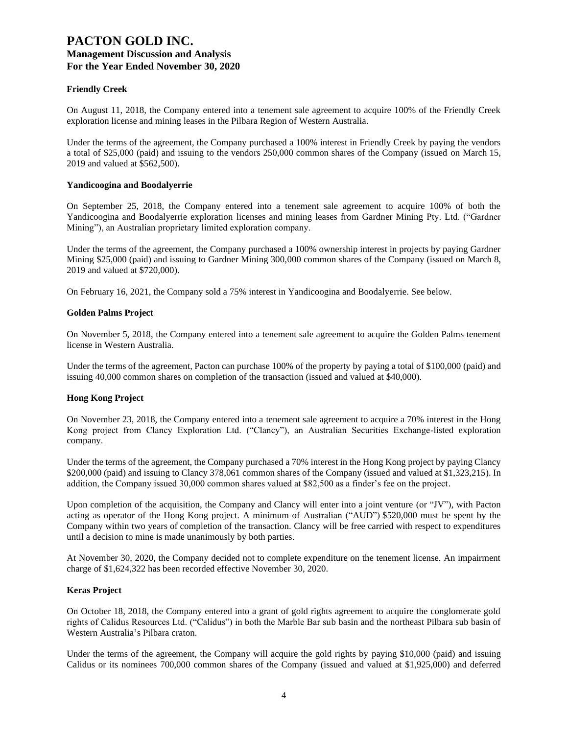## **Friendly Creek**

On August 11, 2018, the Company entered into a tenement sale agreement to acquire 100% of the Friendly Creek exploration license and mining leases in the Pilbara Region of Western Australia.

Under the terms of the agreement, the Company purchased a 100% interest in Friendly Creek by paying the vendors a total of \$25,000 (paid) and issuing to the vendors 250,000 common shares of the Company (issued on March 15, 2019 and valued at \$562,500).

#### **Yandicoogina and Boodalyerrie**

On September 25, 2018, the Company entered into a tenement sale agreement to acquire 100% of both the Yandicoogina and Boodalyerrie exploration licenses and mining leases from Gardner Mining Pty. Ltd. ("Gardner Mining"), an Australian proprietary limited exploration company.

Under the terms of the agreement, the Company purchased a 100% ownership interest in projects by paying Gardner Mining \$25,000 (paid) and issuing to Gardner Mining 300,000 common shares of the Company (issued on March 8, 2019 and valued at \$720,000).

On February 16, 2021, the Company sold a 75% interest in Yandicoogina and Boodalyerrie. See below.

#### **Golden Palms Project**

On November 5, 2018, the Company entered into a tenement sale agreement to acquire the Golden Palms tenement license in Western Australia.

Under the terms of the agreement, Pacton can purchase 100% of the property by paying a total of \$100,000 (paid) and issuing 40,000 common shares on completion of the transaction (issued and valued at \$40,000).

## **Hong Kong Project**

On November 23, 2018, the Company entered into a tenement sale agreement to acquire a 70% interest in the Hong Kong project from Clancy Exploration Ltd. ("Clancy"), an Australian Securities Exchange-listed exploration company.

Under the terms of the agreement, the Company purchased a 70% interest in the Hong Kong project by paying Clancy \$200,000 (paid) and issuing to Clancy 378,061 common shares of the Company (issued and valued at \$1,323,215). In addition, the Company issued 30,000 common shares valued at \$82,500 as a finder's fee on the project.

Upon completion of the acquisition, the Company and Clancy will enter into a joint venture (or "JV"), with Pacton acting as operator of the Hong Kong project. A minimum of Australian ("AUD") \$520,000 must be spent by the Company within two years of completion of the transaction. Clancy will be free carried with respect to expenditures until a decision to mine is made unanimously by both parties.

At November 30, 2020, the Company decided not to complete expenditure on the tenement license. An impairment charge of \$1,624,322 has been recorded effective November 30, 2020.

## **Keras Project**

On October 18, 2018, the Company entered into a grant of gold rights agreement to acquire the conglomerate gold rights of Calidus Resources Ltd. ("Calidus") in both the Marble Bar sub basin and the northeast Pilbara sub basin of Western Australia's Pilbara craton.

Under the terms of the agreement, the Company will acquire the gold rights by paying \$10,000 (paid) and issuing Calidus or its nominees 700,000 common shares of the Company (issued and valued at \$1,925,000) and deferred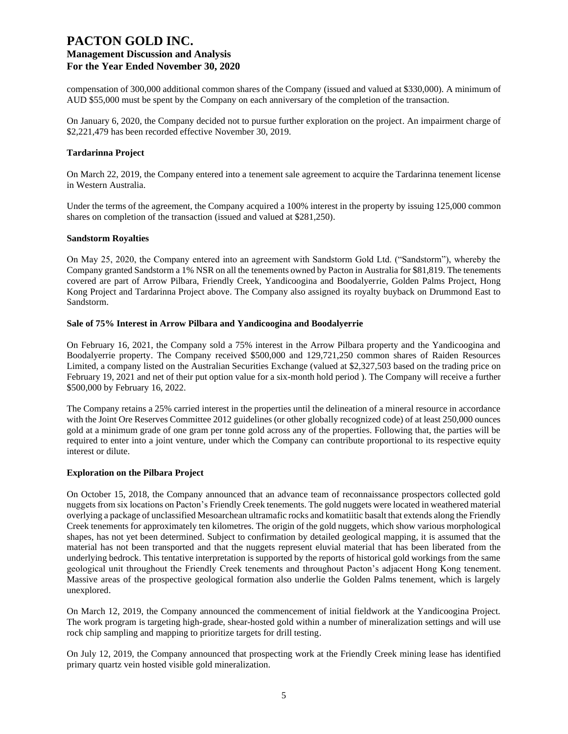compensation of 300,000 additional common shares of the Company (issued and valued at \$330,000). A minimum of AUD \$55,000 must be spent by the Company on each anniversary of the completion of the transaction.

On January 6, 2020, the Company decided not to pursue further exploration on the project. An impairment charge of \$2,221,479 has been recorded effective November 30, 2019.

#### **Tardarinna Project**

On March 22, 2019, the Company entered into a tenement sale agreement to acquire the Tardarinna tenement license in Western Australia.

Under the terms of the agreement, the Company acquired a 100% interest in the property by issuing 125,000 common shares on completion of the transaction (issued and valued at \$281,250).

#### **Sandstorm Royalties**

On May 25, 2020, the Company entered into an agreement with Sandstorm Gold Ltd. ("Sandstorm"), whereby the Company granted Sandstorm a 1% NSR on all the tenements owned by Pacton in Australia for \$81,819. The tenements covered are part of Arrow Pilbara, Friendly Creek, Yandicoogina and Boodalyerrie, Golden Palms Project, Hong Kong Project and Tardarinna Project above. The Company also assigned its royalty buyback on Drummond East to Sandstorm.

#### **Sale of 75% Interest in Arrow Pilbara and Yandicoogina and Boodalyerrie**

On February 16, 2021, the Company sold a 75% interest in the Arrow Pilbara property and the Yandicoogina and Boodalyerrie property. The Company received \$500,000 and 129,721,250 common shares of Raiden Resources Limited, a company listed on the Australian Securities Exchange (valued at \$2,327,503 based on the trading price on February 19, 2021 and net of their put option value for a six-month hold period ). The Company will receive a further \$500,000 by February 16, 2022.

The Company retains a 25% carried interest in the properties until the delineation of a mineral resource in accordance with the Joint Ore Reserves Committee 2012 guidelines (or other globally recognized code) of at least 250,000 ounces gold at a minimum grade of one gram per tonne gold across any of the properties. Following that, the parties will be required to enter into a joint venture, under which the Company can contribute proportional to its respective equity interest or dilute.

#### **Exploration on the Pilbara Project**

On October 15, 2018, the Company announced that an advance team of reconnaissance prospectors collected gold nuggets from six locations on Pacton's Friendly Creek tenements. The gold nuggets were located in weathered material overlying a package of unclassified Mesoarchean ultramafic rocks and komatiitic basalt that extends along the Friendly Creek tenements for approximately ten kilometres. The origin of the gold nuggets, which show various morphological shapes, has not yet been determined. Subject to confirmation by detailed geological mapping, it is assumed that the material has not been transported and that the nuggets represent eluvial material that has been liberated from the underlying bedrock. This tentative interpretation is supported by the reports of historical gold workings from the same geological unit throughout the Friendly Creek tenements and throughout Pacton's adjacent Hong Kong tenement. Massive areas of the prospective geological formation also underlie the Golden Palms tenement, which is largely unexplored.

On March 12, 2019, the Company announced the commencement of initial fieldwork at the Yandicoogina Project. The work program is targeting high-grade, shear-hosted gold within a number of mineralization settings and will use rock chip sampling and mapping to prioritize targets for drill testing.

On July 12, 2019, the Company announced that prospecting work at the Friendly Creek mining lease has identified primary quartz vein hosted visible gold mineralization.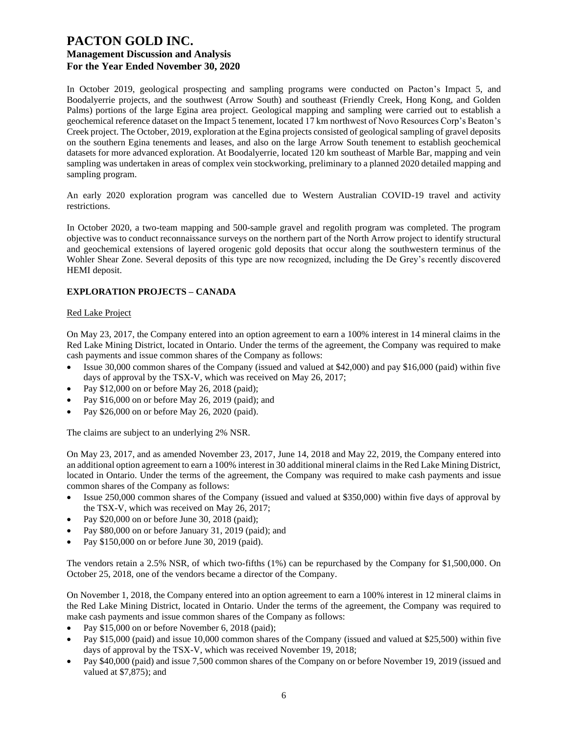In October 2019, geological prospecting and sampling programs were conducted on Pacton's Impact 5, and Boodalyerrie projects, and the southwest (Arrow South) and southeast (Friendly Creek, Hong Kong, and Golden Palms) portions of the large Egina area project. Geological mapping and sampling were carried out to establish a geochemical reference dataset on the Impact 5 tenement, located 17 km northwest of Novo Resources Corp's Beaton's Creek project. The October, 2019, exploration at the Egina projects consisted of geological sampling of gravel deposits on the southern Egina tenements and leases, and also on the large Arrow South tenement to establish geochemical datasets for more advanced exploration. At Boodalyerrie, located 120 km southeast of Marble Bar, mapping and vein sampling was undertaken in areas of complex vein stockworking, preliminary to a planned 2020 detailed mapping and sampling program.

An early 2020 exploration program was cancelled due to Western Australian COVID-19 travel and activity restrictions.

In October 2020, a two-team mapping and 500-sample gravel and regolith program was completed. The program objective was to conduct reconnaissance surveys on the northern part of the North Arrow project to identify structural and geochemical extensions of layered orogenic gold deposits that occur along the southwestern terminus of the Wohler Shear Zone. Several deposits of this type are now recognized, including the De Grey's recently discovered HEMI deposit.

## **EXPLORATION PROJECTS – CANADA**

#### Red Lake Project

On May 23, 2017, the Company entered into an option agreement to earn a 100% interest in 14 mineral claims in the Red Lake Mining District, located in Ontario. Under the terms of the agreement, the Company was required to make cash payments and issue common shares of the Company as follows:

- Issue 30,000 common shares of the Company (issued and valued at \$42,000) and pay \$16,000 (paid) within five days of approval by the TSX-V, which was received on May 26, 2017;
- Pay \$12,000 on or before May 26, 2018 (paid);
- Pay \$16,000 on or before May 26, 2019 (paid); and
- Pay \$26,000 on or before May 26, 2020 (paid).

The claims are subject to an underlying 2% NSR.

On May 23, 2017, and as amended November 23, 2017, June 14, 2018 and May 22, 2019, the Company entered into an additional option agreement to earn a 100% interest in 30 additional mineral claims in the Red Lake Mining District, located in Ontario. Under the terms of the agreement, the Company was required to make cash payments and issue common shares of the Company as follows:

- Issue 250,000 common shares of the Company (issued and valued at \$350,000) within five days of approval by the TSX-V, which was received on May 26, 2017;
- Pay \$20,000 on or before June 30, 2018 (paid);
- Pay \$80,000 on or before January 31, 2019 (paid); and
- Pay \$150,000 on or before June 30, 2019 (paid).

The vendors retain a 2.5% NSR, of which two-fifths (1%) can be repurchased by the Company for \$1,500,000. On October 25, 2018, one of the vendors became a director of the Company.

On November 1, 2018, the Company entered into an option agreement to earn a 100% interest in 12 mineral claims in the Red Lake Mining District, located in Ontario. Under the terms of the agreement, the Company was required to make cash payments and issue common shares of the Company as follows:

- Pay \$15,000 on or before November 6, 2018 (paid);
- Pay \$15,000 (paid) and issue 10,000 common shares of the Company (issued and valued at \$25,500) within five days of approval by the TSX-V, which was received November 19, 2018;
- Pay \$40,000 (paid) and issue 7,500 common shares of the Company on or before November 19, 2019 (issued and valued at \$7,875); and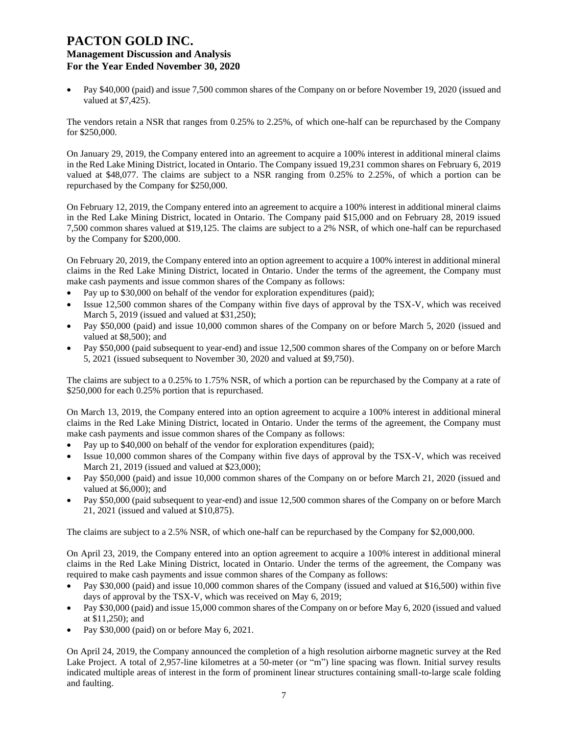• Pay \$40,000 (paid) and issue 7,500 common shares of the Company on or before November 19, 2020 (issued and valued at \$7,425).

The vendors retain a NSR that ranges from 0.25% to 2.25%, of which one-half can be repurchased by the Company for \$250,000.

On January 29, 2019, the Company entered into an agreement to acquire a 100% interest in additional mineral claims in the Red Lake Mining District, located in Ontario. The Company issued 19,231 common shares on February 6, 2019 valued at \$48,077. The claims are subject to a NSR ranging from 0.25% to 2.25%, of which a portion can be repurchased by the Company for \$250,000.

On February 12, 2019, the Company entered into an agreement to acquire a 100% interest in additional mineral claims in the Red Lake Mining District, located in Ontario. The Company paid \$15,000 and on February 28, 2019 issued 7,500 common shares valued at \$19,125. The claims are subject to a 2% NSR, of which one-half can be repurchased by the Company for \$200,000.

On February 20, 2019, the Company entered into an option agreement to acquire a 100% interest in additional mineral claims in the Red Lake Mining District, located in Ontario. Under the terms of the agreement, the Company must make cash payments and issue common shares of the Company as follows:

- Pay up to \$30,000 on behalf of the vendor for exploration expenditures (paid);
- Issue 12,500 common shares of the Company within five days of approval by the TSX-V, which was received March 5, 2019 (issued and valued at \$31,250);
- Pay \$50,000 (paid) and issue 10,000 common shares of the Company on or before March 5, 2020 (issued and valued at \$8,500); and
- Pay \$50,000 (paid subsequent to year-end) and issue 12,500 common shares of the Company on or before March 5, 2021 (issued subsequent to November 30, 2020 and valued at \$9,750).

The claims are subject to a 0.25% to 1.75% NSR, of which a portion can be repurchased by the Company at a rate of \$250,000 for each 0.25% portion that is repurchased.

On March 13, 2019, the Company entered into an option agreement to acquire a 100% interest in additional mineral claims in the Red Lake Mining District, located in Ontario. Under the terms of the agreement, the Company must make cash payments and issue common shares of the Company as follows:

- Pay up to \$40,000 on behalf of the vendor for exploration expenditures (paid);
- Issue 10,000 common shares of the Company within five days of approval by the TSX-V, which was received March 21, 2019 (issued and valued at \$23,000);
- Pay \$50,000 (paid) and issue 10,000 common shares of the Company on or before March 21, 2020 (issued and valued at \$6,000); and
- Pay \$50,000 (paid subsequent to year-end) and issue 12,500 common shares of the Company on or before March 21, 2021 (issued and valued at \$10,875).

The claims are subject to a 2.5% NSR, of which one-half can be repurchased by the Company for \$2,000,000.

On April 23, 2019, the Company entered into an option agreement to acquire a 100% interest in additional mineral claims in the Red Lake Mining District, located in Ontario. Under the terms of the agreement, the Company was required to make cash payments and issue common shares of the Company as follows:

- Pay \$30,000 (paid) and issue 10,000 common shares of the Company (issued and valued at \$16,500) within five days of approval by the TSX-V, which was received on May 6, 2019;
- Pay \$30,000 (paid) and issue 15,000 common shares of the Company on or before May 6, 2020 (issued and valued at \$11,250); and
- Pay \$30,000 (paid) on or before May 6, 2021.

On April 24, 2019, the Company announced the completion of a high resolution airborne magnetic survey at the Red Lake Project. A total of 2,957-line kilometres at a 50-meter (or "m") line spacing was flown. Initial survey results indicated multiple areas of interest in the form of prominent linear structures containing small-to-large scale folding and faulting.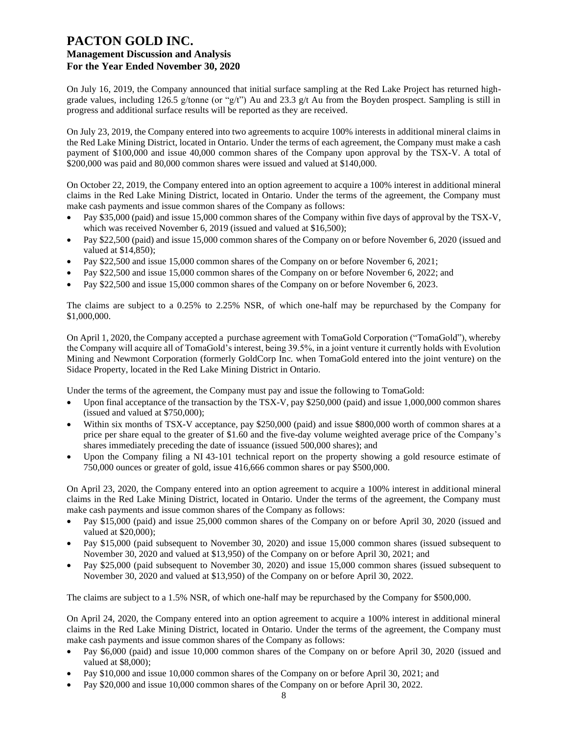On July 16, 2019, the Company announced that initial surface sampling at the Red Lake Project has returned highgrade values, including 126.5 g/tonne (or "g/t") Au and 23.3 g/t Au from the Boyden prospect. Sampling is still in progress and additional surface results will be reported as they are received.

On July 23, 2019, the Company entered into two agreements to acquire 100% interests in additional mineral claims in the Red Lake Mining District, located in Ontario. Under the terms of each agreement, the Company must make a cash payment of \$100,000 and issue 40,000 common shares of the Company upon approval by the TSX-V. A total of \$200,000 was paid and 80,000 common shares were issued and valued at \$140,000.

On October 22, 2019, the Company entered into an option agreement to acquire a 100% interest in additional mineral claims in the Red Lake Mining District, located in Ontario. Under the terms of the agreement, the Company must make cash payments and issue common shares of the Company as follows:

- Pay \$35,000 (paid) and issue 15,000 common shares of the Company within five days of approval by the TSX-V, which was received November 6, 2019 (issued and valued at \$16,500);
- Pay \$22,500 (paid) and issue 15,000 common shares of the Company on or before November 6, 2020 (issued and valued at \$14,850);
- Pay \$22,500 and issue 15,000 common shares of the Company on or before November 6, 2021;
- Pay \$22,500 and issue 15,000 common shares of the Company on or before November 6, 2022; and
- Pay \$22,500 and issue 15,000 common shares of the Company on or before November 6, 2023.

The claims are subject to a 0.25% to 2.25% NSR, of which one-half may be repurchased by the Company for \$1,000,000.

On April 1, 2020, the Company accepted a purchase agreement with TomaGold Corporation ("TomaGold"), whereby the Company will acquire all of TomaGold's interest, being 39.5%, in a joint venture it currently holds with Evolution Mining and Newmont Corporation (formerly GoldCorp Inc. when TomaGold entered into the joint venture) on the Sidace Property, located in the Red Lake Mining District in Ontario.

Under the terms of the agreement, the Company must pay and issue the following to TomaGold:

- Upon final acceptance of the transaction by the TSX-V, pay \$250,000 (paid) and issue 1,000,000 common shares (issued and valued at \$750,000);
- Within six months of TSX-V acceptance, pay \$250,000 (paid) and issue \$800,000 worth of common shares at a price per share equal to the greater of \$1.60 and the five-day volume weighted average price of the Company's shares immediately preceding the date of issuance (issued 500,000 shares); and
- Upon the Company filing a NI 43-101 technical report on the property showing a gold resource estimate of 750,000 ounces or greater of gold, issue 416,666 common shares or pay \$500,000.

On April 23, 2020, the Company entered into an option agreement to acquire a 100% interest in additional mineral claims in the Red Lake Mining District, located in Ontario. Under the terms of the agreement, the Company must make cash payments and issue common shares of the Company as follows:

- Pay \$15,000 (paid) and issue 25,000 common shares of the Company on or before April 30, 2020 (issued and valued at \$20,000);
- Pay \$15,000 (paid subsequent to November 30, 2020) and issue 15,000 common shares (issued subsequent to November 30, 2020 and valued at \$13,950) of the Company on or before April 30, 2021; and
- Pay \$25,000 (paid subsequent to November 30, 2020) and issue 15,000 common shares (issued subsequent to November 30, 2020 and valued at \$13,950) of the Company on or before April 30, 2022.

The claims are subject to a 1.5% NSR, of which one-half may be repurchased by the Company for \$500,000.

On April 24, 2020, the Company entered into an option agreement to acquire a 100% interest in additional mineral claims in the Red Lake Mining District, located in Ontario. Under the terms of the agreement, the Company must make cash payments and issue common shares of the Company as follows:

- Pay \$6,000 (paid) and issue 10,000 common shares of the Company on or before April 30, 2020 (issued and valued at \$8,000);
- Pay \$10,000 and issue 10,000 common shares of the Company on or before April 30, 2021; and
- Pay \$20,000 and issue 10,000 common shares of the Company on or before April 30, 2022.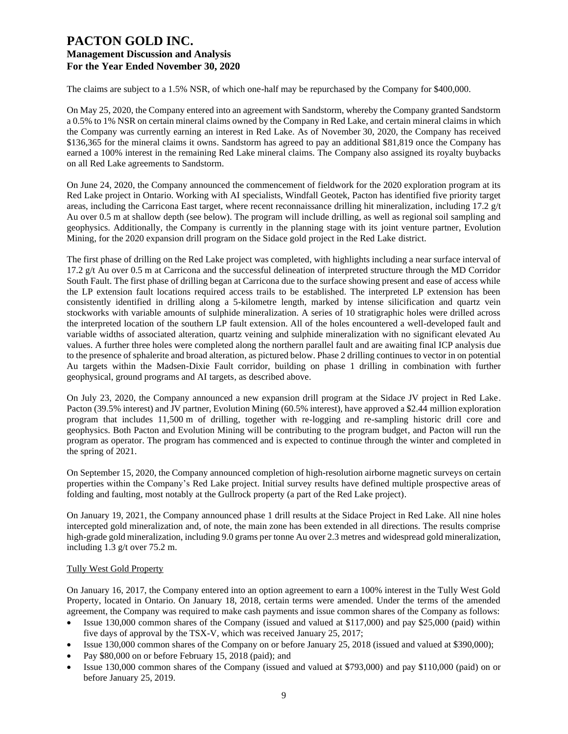The claims are subject to a 1.5% NSR, of which one-half may be repurchased by the Company for \$400,000.

On May 25, 2020, the Company entered into an agreement with Sandstorm, whereby the Company granted Sandstorm a 0.5% to 1% NSR on certain mineral claims owned by the Company in Red Lake, and certain mineral claims in which the Company was currently earning an interest in Red Lake. As of November 30, 2020, the Company has received \$136,365 for the mineral claims it owns. Sandstorm has agreed to pay an additional \$81,819 once the Company has earned a 100% interest in the remaining Red Lake mineral claims. The Company also assigned its royalty buybacks on all Red Lake agreements to Sandstorm.

On June 24, 2020, the Company announced the commencement of fieldwork for the 2020 exploration program at its Red Lake project in Ontario. Working with AI specialists, Windfall Geotek, Pacton has identified five priority target areas, including the Carricona East target, where recent reconnaissance drilling hit mineralization, including 17.2 g/t Au over 0.5 m at shallow depth (see below). The program will include drilling, as well as regional soil sampling and geophysics. Additionally, the Company is currently in the planning stage with its joint venture partner, Evolution Mining, for the 2020 expansion drill program on the Sidace gold project in the Red Lake district.

The first phase of drilling on the Red Lake project was completed, with highlights including a near surface interval of 17.2 g/t Au over 0.5 m at Carricona and the successful delineation of interpreted structure through the MD Corridor South Fault. The first phase of drilling began at Carricona due to the surface showing present and ease of access while the LP extension fault locations required access trails to be established. The interpreted LP extension has been consistently identified in drilling along a 5-kilometre length, marked by intense silicification and quartz vein stockworks with variable amounts of sulphide mineralization. A series of 10 stratigraphic holes were drilled across the interpreted location of the southern LP fault extension. All of the holes encountered a well-developed fault and variable widths of associated alteration, quartz veining and sulphide mineralization with no significant elevated Au values. A further three holes were completed along the northern parallel fault and are awaiting final ICP analysis due to the presence of sphalerite and broad alteration, as pictured below. Phase 2 drilling continues to vector in on potential Au targets within the Madsen-Dixie Fault corridor, building on phase 1 drilling in combination with further geophysical, ground programs and AI targets, as described above.

On July 23, 2020, the Company announced a new expansion drill program at the Sidace JV project in Red Lake. Pacton (39.5% interest) and JV partner, Evolution Mining (60.5% interest), have approved a \$2.44 million exploration program that includes 11,500 m of drilling, together with re-logging and re-sampling historic drill core and geophysics. Both Pacton and Evolution Mining will be contributing to the program budget, and Pacton will run the program as operator. The program has commenced and is expected to continue through the winter and completed in the spring of 2021.

On September 15, 2020, the Company announced completion of high-resolution airborne magnetic surveys on certain properties within the Company's Red Lake project. Initial survey results have defined multiple prospective areas of folding and faulting, most notably at the Gullrock property (a part of the Red Lake project).

On January 19, 2021, the Company announced phase 1 drill results at the Sidace Project in Red Lake. All nine holes intercepted gold mineralization and, of note, the main zone has been extended in all directions. The results comprise high-grade gold mineralization, including 9.0 grams per tonne Au over 2.3 metres and widespread gold mineralization, including 1.3 g/t over 75.2 m.

#### Tully West Gold Property

On January 16, 2017, the Company entered into an option agreement to earn a 100% interest in the Tully West Gold Property, located in Ontario. On January 18, 2018, certain terms were amended. Under the terms of the amended agreement, the Company was required to make cash payments and issue common shares of the Company as follows:

- Issue 130,000 common shares of the Company (issued and valued at \$117,000) and pay \$25,000 (paid) within five days of approval by the TSX-V, which was received January 25, 2017;
- Issue 130,000 common shares of the Company on or before January 25, 2018 (issued and valued at \$390,000);
- Pay \$80,000 on or before February 15, 2018 (paid); and
- Issue 130,000 common shares of the Company (issued and valued at \$793,000) and pay \$110,000 (paid) on or before January 25, 2019.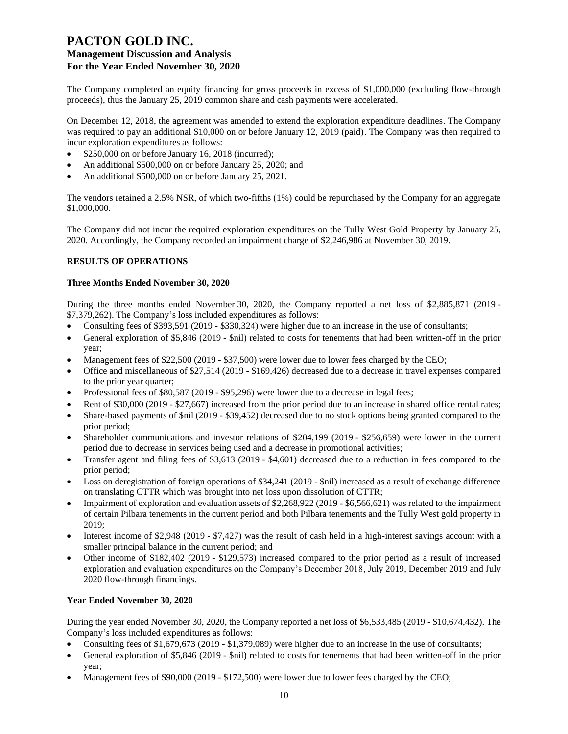The Company completed an equity financing for gross proceeds in excess of \$1,000,000 (excluding flow-through proceeds), thus the January 25, 2019 common share and cash payments were accelerated.

On December 12, 2018, the agreement was amended to extend the exploration expenditure deadlines. The Company was required to pay an additional \$10,000 on or before January 12, 2019 (paid). The Company was then required to incur exploration expenditures as follows:

- \$250,000 on or before January 16, 2018 (incurred);
- An additional \$500,000 on or before January 25, 2020; and
- An additional \$500,000 on or before January 25, 2021.

The vendors retained a 2.5% NSR, of which two-fifths (1%) could be repurchased by the Company for an aggregate \$1,000,000.

The Company did not incur the required exploration expenditures on the Tully West Gold Property by January 25, 2020. Accordingly, the Company recorded an impairment charge of \$2,246,986 at November 30, 2019.

## **RESULTS OF OPERATIONS**

#### **Three Months Ended November 30, 2020**

During the three months ended November 30, 2020, the Company reported a net loss of \$2,885,871 (2019 - \$7,379,262). The Company's loss included expenditures as follows:

- Consulting fees of \$393,591 (2019 \$330,324) were higher due to an increase in the use of consultants;
- General exploration of \$5,846 (2019 \$nil) related to costs for tenements that had been written-off in the prior year;
- Management fees of \$22,500 (2019 \$37,500) were lower due to lower fees charged by the CEO;
- Office and miscellaneous of \$27,514 (2019 \$169,426) decreased due to a decrease in travel expenses compared to the prior year quarter;
- Professional fees of \$80,587 (2019 \$95,296) were lower due to a decrease in legal fees;
- Rent of \$30,000 (2019 \$27,667) increased from the prior period due to an increase in shared office rental rates;
- Share-based payments of \$nil (2019 \$39,452) decreased due to no stock options being granted compared to the prior period;
- Shareholder communications and investor relations of \$204,199 (2019 \$256,659) were lower in the current period due to decrease in services being used and a decrease in promotional activities;
- Transfer agent and filing fees of \$3,613 (2019 \$4,601) decreased due to a reduction in fees compared to the prior period;
- Loss on deregistration of foreign operations of \$34,241 (2019 \$nil) increased as a result of exchange difference on translating CTTR which was brought into net loss upon dissolution of CTTR;
- Impairment of exploration and evaluation assets of \$2,268,922 (2019 \$6,566,621) was related to the impairment of certain Pilbara tenements in the current period and both Pilbara tenements and the Tully West gold property in 2019;
- Interest income of \$2,948 (2019 \$7,427) was the result of cash held in a high-interest savings account with a smaller principal balance in the current period; and
- Other income of \$182,402 (2019 \$129,573) increased compared to the prior period as a result of increased exploration and evaluation expenditures on the Company's December 2018, July 2019, December 2019 and July 2020 flow-through financings.

## **Year Ended November 30, 2020**

During the year ended November 30, 2020, the Company reported a net loss of \$6,533,485 (2019 - \$10,674,432). The Company's loss included expenditures as follows:

- Consulting fees of \$1,679,673 (2019 \$1,379,089) were higher due to an increase in the use of consultants;
- General exploration of \$5,846 (2019 \$nil) related to costs for tenements that had been written-off in the prior year;
- Management fees of \$90,000 (2019 \$172,500) were lower due to lower fees charged by the CEO;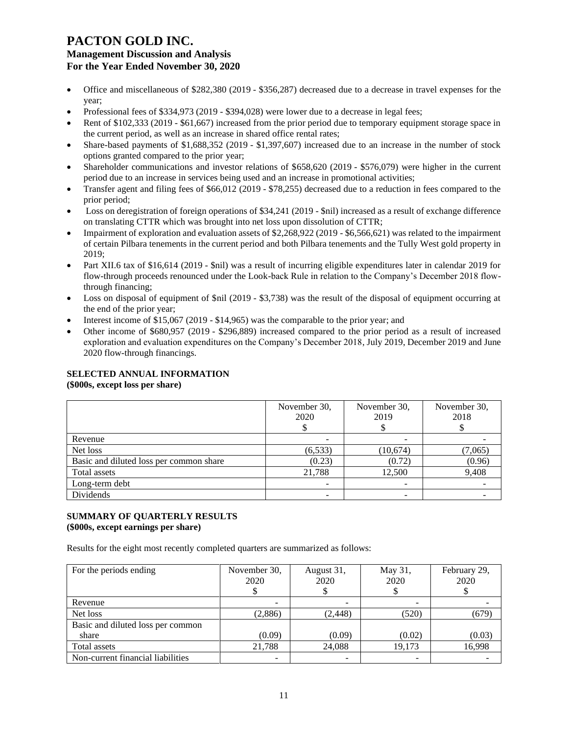- Office and miscellaneous of \$282,380 (2019 \$356,287) decreased due to a decrease in travel expenses for the year;
- Professional fees of \$334,973 (2019 \$394,028) were lower due to a decrease in legal fees;
- Rent of \$102,333 (2019 \$61,667) increased from the prior period due to temporary equipment storage space in the current period, as well as an increase in shared office rental rates;
- Share-based payments of \$1,688,352 (2019 \$1,397,607) increased due to an increase in the number of stock options granted compared to the prior year;
- Shareholder communications and investor relations of \$658,620 (2019 \$576,079) were higher in the current period due to an increase in services being used and an increase in promotional activities;
- Transfer agent and filing fees of \$66,012 (2019 \$78,255) decreased due to a reduction in fees compared to the prior period;
- Loss on deregistration of foreign operations of \$34,241 (2019 \$nil) increased as a result of exchange difference on translating CTTR which was brought into net loss upon dissolution of CTTR;
- Impairment of exploration and evaluation assets of \$2,268,922 (2019 \$6,566,621) was related to the impairment of certain Pilbara tenements in the current period and both Pilbara tenements and the Tully West gold property in 2019;
- Part XII.6 tax of \$16,614 (2019 \$nil) was a result of incurring eligible expenditures later in calendar 2019 for flow-through proceeds renounced under the Look-back Rule in relation to the Company's December 2018 flowthrough financing;
- Loss on disposal of equipment of \$nil (2019 \$3,738) was the result of the disposal of equipment occurring at the end of the prior year;
- Interest income of \$15,067 (2019 \$14,965) was the comparable to the prior year; and
- Other income of \$680,957 (2019 \$296,889) increased compared to the prior period as a result of increased exploration and evaluation expenditures on the Company's December 2018, July 2019, December 2019 and June 2020 flow-through financings.

## **SELECTED ANNUAL INFORMATION**

**(\$000s, except loss per share)**

|                                         | November 30,<br>2020 | November 30,<br>2019 | November 30,<br>2018 |
|-----------------------------------------|----------------------|----------------------|----------------------|
| Revenue                                 |                      |                      |                      |
| Net loss                                | (6, 533)             | (10, 674)            | (7,065)              |
| Basic and diluted loss per common share | (0.23)               | (0.72)               | (0.96)               |
| Total assets                            | 21,788               | 12,500               | 9,408                |
| Long-term debt                          |                      |                      |                      |
| Dividends                               |                      |                      |                      |

## **SUMMARY OF QUARTERLY RESULTS (\$000s, except earnings per share)**

Results for the eight most recently completed quarters are summarized as follows:

| For the periods ending            | November 30,<br>2020 | August 31,<br>2020 | May 31,<br>2020 | February 29,<br>2020 |
|-----------------------------------|----------------------|--------------------|-----------------|----------------------|
| Revenue                           |                      |                    |                 |                      |
| Net loss                          | (2,886)              | (2, 448)           | (520)           | (679)                |
| Basic and diluted loss per common |                      |                    |                 |                      |
| share                             | (0.09)               | (0.09)             | (0.02)          | (0.03)               |
| Total assets                      | 21,788               | 24,088             | 19.173          | 16,998               |
| Non-current financial liabilities |                      |                    |                 |                      |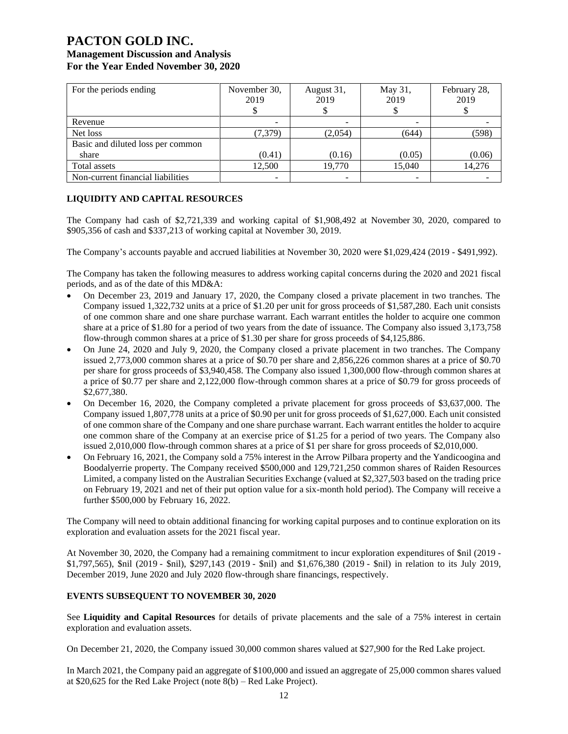# **PACTON GOLD INC.**

# **Management Discussion and Analysis For the Year Ended November 30, 2020**

| For the periods ending            | November 30,<br>2019 | August 31,<br>2019 | May 31,<br>2019 | February 28,<br>2019 |
|-----------------------------------|----------------------|--------------------|-----------------|----------------------|
| Revenue                           |                      |                    |                 |                      |
| Net loss                          | (7, 379)             | (2,054)            | (644)           | (598)                |
| Basic and diluted loss per common |                      |                    |                 |                      |
| share                             | (0.41)               | (0.16)             | (0.05)          | (0.06)               |
| Total assets                      | 12.500               | 19,770             | 15,040          | 14,276               |
| Non-current financial liabilities |                      |                    |                 |                      |

## **LIQUIDITY AND CAPITAL RESOURCES**

The Company had cash of \$2,721,339 and working capital of \$1,908,492 at November 30, 2020, compared to \$905,356 of cash and \$337,213 of working capital at November 30, 2019.

The Company's accounts payable and accrued liabilities at November 30, 2020 were \$1,029,424 (2019 - \$491,992).

The Company has taken the following measures to address working capital concerns during the 2020 and 2021 fiscal periods, and as of the date of this MD&A:

- On December 23, 2019 and January 17, 2020, the Company closed a private placement in two tranches. The Company issued 1,322,732 units at a price of \$1.20 per unit for gross proceeds of \$1,587,280. Each unit consists of one common share and one share purchase warrant. Each warrant entitles the holder to acquire one common share at a price of \$1.80 for a period of two years from the date of issuance. The Company also issued 3,173,758 flow-through common shares at a price of \$1.30 per share for gross proceeds of \$4,125,886.
- On June 24, 2020 and July 9, 2020, the Company closed a private placement in two tranches. The Company issued 2,773,000 common shares at a price of \$0.70 per share and 2,856,226 common shares at a price of \$0.70 per share for gross proceeds of \$3,940,458. The Company also issued 1,300,000 flow-through common shares at a price of \$0.77 per share and 2,122,000 flow-through common shares at a price of \$0.79 for gross proceeds of \$2,677,380.
- On December 16, 2020, the Company completed a private placement for gross proceeds of \$3,637,000. The Company issued 1,807,778 units at a price of \$0.90 per unit for gross proceeds of \$1,627,000. Each unit consisted of one common share of the Company and one share purchase warrant. Each warrant entitles the holder to acquire one common share of the Company at an exercise price of \$1.25 for a period of two years. The Company also issued 2,010,000 flow-through common shares at a price of \$1 per share for gross proceeds of \$2,010,000.
- On February 16, 2021, the Company sold a 75% interest in the Arrow Pilbara property and the Yandicoogina and Boodalyerrie property. The Company received \$500,000 and 129,721,250 common shares of Raiden Resources Limited, a company listed on the Australian Securities Exchange (valued at \$2,327,503 based on the trading price on February 19, 2021 and net of their put option value for a six-month hold period). The Company will receive a further \$500,000 by February 16, 2022.

The Company will need to obtain additional financing for working capital purposes and to continue exploration on its exploration and evaluation assets for the 2021 fiscal year.

At November 30, 2020, the Company had a remaining commitment to incur exploration expenditures of \$nil (2019 - \$1,797,565), \$nil (2019 - \$nil), \$297,143 (2019 - \$nil) and \$1,676,380 (2019 - \$nil) in relation to its July 2019, December 2019, June 2020 and July 2020 flow-through share financings, respectively.

## **EVENTS SUBSEQUENT TO NOVEMBER 30, 2020**

See **Liquidity and Capital Resources** for details of private placements and the sale of a 75% interest in certain exploration and evaluation assets.

On December 21, 2020, the Company issued 30,000 common shares valued at \$27,900 for the Red Lake project.

In March 2021, the Company paid an aggregate of \$100,000 and issued an aggregate of 25,000 common shares valued at \$20,625 for the Red Lake Project (note 8(b) – Red Lake Project).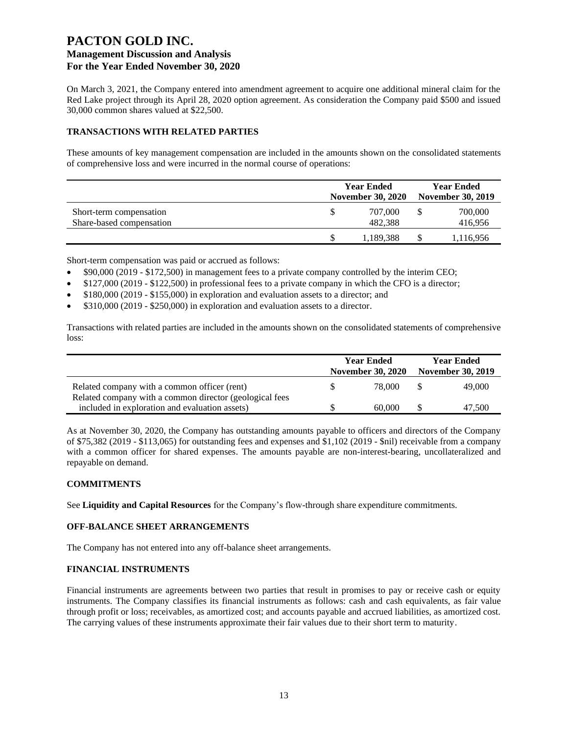On March 3, 2021, the Company entered into amendment agreement to acquire one additional mineral claim for the Red Lake project through its April 28, 2020 option agreement. As consideration the Company paid \$500 and issued 30,000 common shares valued at \$22,500.

## **TRANSACTIONS WITH RELATED PARTIES**

These amounts of key management compensation are included in the amounts shown on the consolidated statements of comprehensive loss and were incurred in the normal course of operations:

|                          | <b>Year Ended</b><br><b>November 30, 2020</b> |  |           |
|--------------------------|-----------------------------------------------|--|-----------|
| Short-term compensation  | 707,000                                       |  | 700,000   |
| Share-based compensation | 482.388                                       |  | 416,956   |
|                          | 1,189,388                                     |  | 1,116,956 |

Short-term compensation was paid or accrued as follows:

- \$90,000 (2019 \$172,500) in management fees to a private company controlled by the interim CEO;
- \$127,000 (2019 \$122,500) in professional fees to a private company in which the CFO is a director;
- \$180,000 (2019 \$155,000) in exploration and evaluation assets to a director; and
- \$310,000 (2019 \$250,000) in exploration and evaluation assets to a director.

Transactions with related parties are included in the amounts shown on the consolidated statements of comprehensive loss:

|                                                         | <b>Year Ended</b><br><b>November 30, 2020</b> |        | <b>Year Ended</b><br><b>November 30, 2019</b> |        |
|---------------------------------------------------------|-----------------------------------------------|--------|-----------------------------------------------|--------|
| Related company with a common officer (rent)            | S.                                            | 78,000 |                                               | 49,000 |
| Related company with a common director (geological fees |                                               |        |                                               |        |
| included in exploration and evaluation assets)          |                                               | 60,000 |                                               | 47,500 |

As at November 30, 2020, the Company has outstanding amounts payable to officers and directors of the Company of \$75,382 (2019 - \$113,065) for outstanding fees and expenses and \$1,102 (2019 - \$nil) receivable from a company with a common officer for shared expenses. The amounts payable are non-interest-bearing, uncollateralized and repayable on demand.

## **COMMITMENTS**

See **Liquidity and Capital Resources** for the Company's flow-through share expenditure commitments.

## **OFF-BALANCE SHEET ARRANGEMENTS**

The Company has not entered into any off-balance sheet arrangements.

## **FINANCIAL INSTRUMENTS**

Financial instruments are agreements between two parties that result in promises to pay or receive cash or equity instruments. The Company classifies its financial instruments as follows: cash and cash equivalents, as fair value through profit or loss; receivables, as amortized cost; and accounts payable and accrued liabilities, as amortized cost. The carrying values of these instruments approximate their fair values due to their short term to maturity.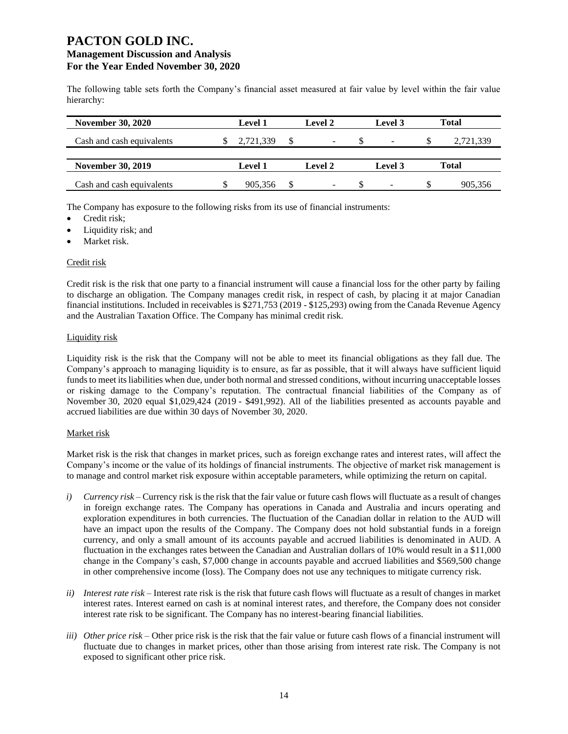The following table sets forth the Company's financial asset measured at fair value by level within the fair value hierarchy:

| <b>November 30, 2020</b>  | <b>Level 1</b> | Level 2 | Level 3                  |    | <b>Total</b> |
|---------------------------|----------------|---------|--------------------------|----|--------------|
| Cash and cash equivalents | 2,721,339      | -       |                          | Ъ  | 2,721,339    |
| <b>November 30, 2019</b>  | <b>Level 1</b> | Level 2 | Level 3                  |    | Total        |
| Cash and cash equivalents | 905.356        | -       | $\overline{\phantom{a}}$ | S. | 905.356      |

The Company has exposure to the following risks from its use of financial instruments:

- Credit risk;
- Liquidity risk; and
- Market risk.

## Credit risk

Credit risk is the risk that one party to a financial instrument will cause a financial loss for the other party by failing to discharge an obligation. The Company manages credit risk, in respect of cash, by placing it at major Canadian financial institutions. Included in receivables is \$271,753 (2019 - \$125,293) owing from the Canada Revenue Agency and the Australian Taxation Office. The Company has minimal credit risk.

#### Liquidity risk

Liquidity risk is the risk that the Company will not be able to meet its financial obligations as they fall due. The Company's approach to managing liquidity is to ensure, as far as possible, that it will always have sufficient liquid funds to meet its liabilities when due, under both normal and stressed conditions, without incurring unacceptable losses or risking damage to the Company's reputation. The contractual financial liabilities of the Company as of November 30, 2020 equal \$1,029,424 (2019 - \$491,992). All of the liabilities presented as accounts payable and accrued liabilities are due within 30 days of November 30, 2020.

## Market risk

Market risk is the risk that changes in market prices, such as foreign exchange rates and interest rates, will affect the Company's income or the value of its holdings of financial instruments. The objective of market risk management is to manage and control market risk exposure within acceptable parameters, while optimizing the return on capital.

- *i) Currency risk*  Currency risk is the risk that the fair value or future cash flows will fluctuate as a result of changes in foreign exchange rates. The Company has operations in Canada and Australia and incurs operating and exploration expenditures in both currencies. The fluctuation of the Canadian dollar in relation to the AUD will have an impact upon the results of the Company. The Company does not hold substantial funds in a foreign currency, and only a small amount of its accounts payable and accrued liabilities is denominated in AUD. A fluctuation in the exchanges rates between the Canadian and Australian dollars of 10% would result in a \$11,000 change in the Company's cash, \$7,000 change in accounts payable and accrued liabilities and \$569,500 change in other comprehensive income (loss). The Company does not use any techniques to mitigate currency risk.
- *ii) Interest rate risk –* Interest rate risk is the risk that future cash flows will fluctuate as a result of changes in market interest rates. Interest earned on cash is at nominal interest rates, and therefore, the Company does not consider interest rate risk to be significant. The Company has no interest-bearing financial liabilities.
- *iii) Other price risk –* Other price risk is the risk that the fair value or future cash flows of a financial instrument will fluctuate due to changes in market prices, other than those arising from interest rate risk. The Company is not exposed to significant other price risk.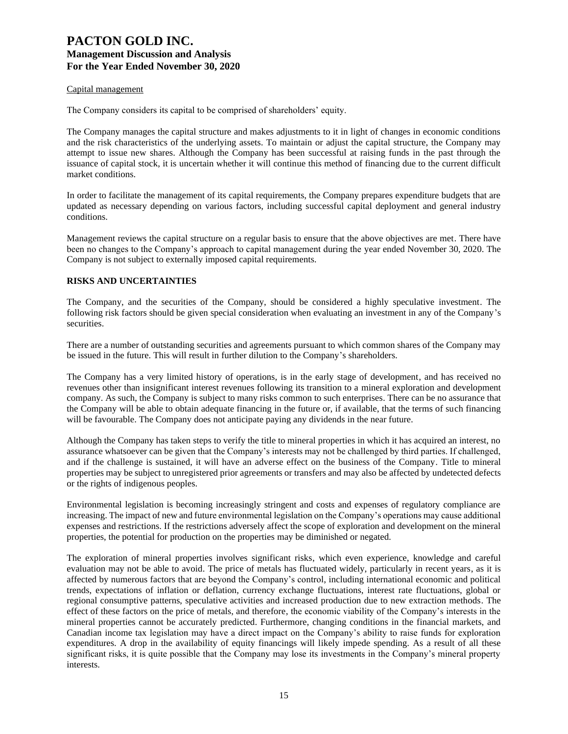#### Capital management

The Company considers its capital to be comprised of shareholders' equity.

The Company manages the capital structure and makes adjustments to it in light of changes in economic conditions and the risk characteristics of the underlying assets. To maintain or adjust the capital structure, the Company may attempt to issue new shares. Although the Company has been successful at raising funds in the past through the issuance of capital stock, it is uncertain whether it will continue this method of financing due to the current difficult market conditions.

In order to facilitate the management of its capital requirements, the Company prepares expenditure budgets that are updated as necessary depending on various factors, including successful capital deployment and general industry conditions.

Management reviews the capital structure on a regular basis to ensure that the above objectives are met. There have been no changes to the Company's approach to capital management during the year ended November 30, 2020. The Company is not subject to externally imposed capital requirements.

#### **RISKS AND UNCERTAINTIES**

The Company, and the securities of the Company, should be considered a highly speculative investment. The following risk factors should be given special consideration when evaluating an investment in any of the Company's securities.

There are a number of outstanding securities and agreements pursuant to which common shares of the Company may be issued in the future. This will result in further dilution to the Company's shareholders.

The Company has a very limited history of operations, is in the early stage of development, and has received no revenues other than insignificant interest revenues following its transition to a mineral exploration and development company. As such, the Company is subject to many risks common to such enterprises. There can be no assurance that the Company will be able to obtain adequate financing in the future or, if available, that the terms of such financing will be favourable. The Company does not anticipate paying any dividends in the near future.

Although the Company has taken steps to verify the title to mineral properties in which it has acquired an interest, no assurance whatsoever can be given that the Company's interests may not be challenged by third parties. If challenged, and if the challenge is sustained, it will have an adverse effect on the business of the Company. Title to mineral properties may be subject to unregistered prior agreements or transfers and may also be affected by undetected defects or the rights of indigenous peoples.

Environmental legislation is becoming increasingly stringent and costs and expenses of regulatory compliance are increasing. The impact of new and future environmental legislation on the Company's operations may cause additional expenses and restrictions. If the restrictions adversely affect the scope of exploration and development on the mineral properties, the potential for production on the properties may be diminished or negated.

The exploration of mineral properties involves significant risks, which even experience, knowledge and careful evaluation may not be able to avoid. The price of metals has fluctuated widely, particularly in recent years, as it is affected by numerous factors that are beyond the Company's control, including international economic and political trends, expectations of inflation or deflation, currency exchange fluctuations, interest rate fluctuations, global or regional consumptive patterns, speculative activities and increased production due to new extraction methods. The effect of these factors on the price of metals, and therefore, the economic viability of the Company's interests in the mineral properties cannot be accurately predicted. Furthermore, changing conditions in the financial markets, and Canadian income tax legislation may have a direct impact on the Company's ability to raise funds for exploration expenditures. A drop in the availability of equity financings will likely impede spending. As a result of all these significant risks, it is quite possible that the Company may lose its investments in the Company's mineral property interests.